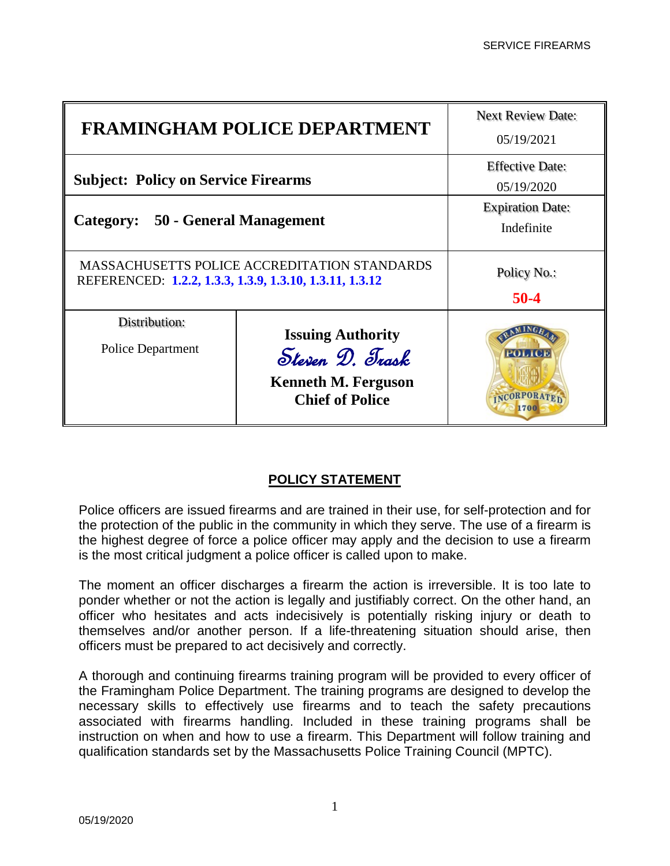| <b>FRAMINGHAM POLICE DEPARTMENT</b>                                                                            |                                                                                                     | <b>Next Review Date:</b><br>05/19/2021 |
|----------------------------------------------------------------------------------------------------------------|-----------------------------------------------------------------------------------------------------|----------------------------------------|
| <b>Subject: Policy on Service Firearms</b>                                                                     |                                                                                                     | <b>Effective Date:</b><br>05/19/2020   |
| Category: 50 - General Management                                                                              |                                                                                                     | <b>Expiration Date:</b><br>Indefinite  |
| <b>MASSACHUSETTS POLICE ACCREDITATION STANDARDS</b><br>REFERENCED: 1.2.2, 1.3.3, 1.3.9, 1.3.10, 1.3.11, 1.3.12 |                                                                                                     | Policy No.:<br>$50-4$                  |
| Distribution:<br>Police Department                                                                             | <b>Issuing Authority</b><br>Steven D. Trask<br><b>Kenneth M. Ferguson</b><br><b>Chief of Police</b> |                                        |

## **POLICY STATEMENT**

Police officers are issued firearms and are trained in their use, for self-protection and for the protection of the public in the community in which they serve. The use of a firearm is the highest degree of force a police officer may apply and the decision to use a firearm is the most critical judgment a police officer is called upon to make.

The moment an officer discharges a firearm the action is irreversible. It is too late to ponder whether or not the action is legally and justifiably correct. On the other hand, an officer who hesitates and acts indecisively is potentially risking injury or death to themselves and/or another person. If a life-threatening situation should arise, then officers must be prepared to act decisively and correctly.

A thorough and continuing firearms training program will be provided to every officer of the Framingham Police Department. The training programs are designed to develop the necessary skills to effectively use firearms and to teach the safety precautions associated with firearms handling. Included in these training programs shall be instruction on when and how to use a firearm. This Department will follow training and qualification standards set by the Massachusetts Police Training Council (MPTC).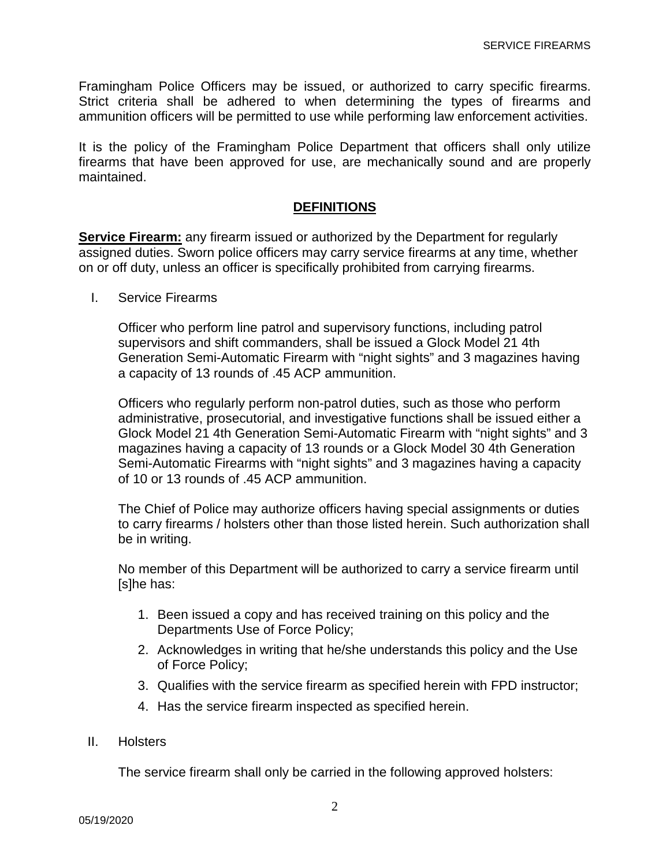Framingham Police Officers may be issued, or authorized to carry specific firearms. Strict criteria shall be adhered to when determining the types of firearms and ammunition officers will be permitted to use while performing law enforcement activities.

It is the policy of the Framingham Police Department that officers shall only utilize firearms that have been approved for use, are mechanically sound and are properly maintained.

## **DEFINITIONS**

**Service Firearm:** any firearm issued or authorized by the Department for regularly assigned duties. Sworn police officers may carry service firearms at any time, whether on or off duty, unless an officer is specifically prohibited from carrying firearms.

I. Service Firearms

Officer who perform line patrol and supervisory functions, including patrol supervisors and shift commanders, shall be issued a Glock Model 21 4th Generation Semi-Automatic Firearm with "night sights" and 3 magazines having a capacity of 13 rounds of .45 ACP ammunition.

Officers who regularly perform non-patrol duties, such as those who perform administrative, prosecutorial, and investigative functions shall be issued either a Glock Model 21 4th Generation Semi-Automatic Firearm with "night sights" and 3 magazines having a capacity of 13 rounds or a Glock Model 30 4th Generation Semi-Automatic Firearms with "night sights" and 3 magazines having a capacity of 10 or 13 rounds of .45 ACP ammunition.

The Chief of Police may authorize officers having special assignments or duties to carry firearms / holsters other than those listed herein. Such authorization shall be in writing.

No member of this Department will be authorized to carry a service firearm until [s]he has:

- 1. Been issued a copy and has received training on this policy and the Departments Use of Force Policy;
- 2. Acknowledges in writing that he/she understands this policy and the Use of Force Policy;
- 3. Qualifies with the service firearm as specified herein with FPD instructor;
- 4. Has the service firearm inspected as specified herein.

## II. Holsters

The service firearm shall only be carried in the following approved holsters: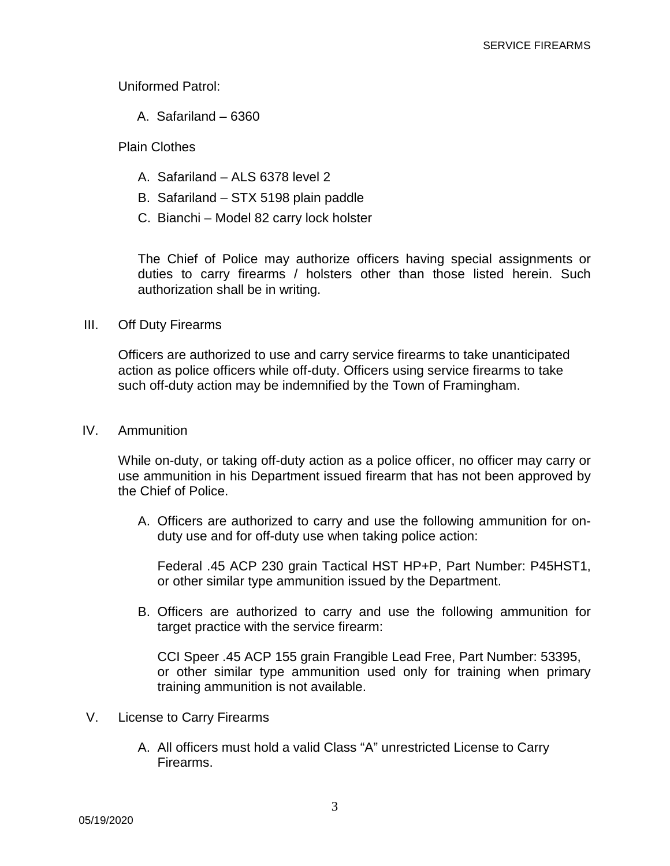Uniformed Patrol:

A. Safariland – 6360

Plain Clothes

- A. Safariland ALS 6378 level 2
- B. Safariland STX 5198 plain paddle
- C. Bianchi Model 82 carry lock holster

The Chief of Police may authorize officers having special assignments or duties to carry firearms / holsters other than those listed herein. Such authorization shall be in writing.

## III. Off Duty Firearms

Officers are authorized to use and carry service firearms to take unanticipated action as police officers while off-duty. Officers using service firearms to take such off-duty action may be indemnified by the Town of Framingham.

IV. Ammunition

While on-duty, or taking off-duty action as a police officer, no officer may carry or use ammunition in his Department issued firearm that has not been approved by the Chief of Police.

A. Officers are authorized to carry and use the following ammunition for onduty use and for off-duty use when taking police action:

Federal .45 ACP 230 grain Tactical HST HP+P, Part Number: P45HST1, or other similar type ammunition issued by the Department.

B. Officers are authorized to carry and use the following ammunition for target practice with the service firearm:

CCI Speer .45 ACP 155 grain Frangible Lead Free, Part Number: 53395, or other similar type ammunition used only for training when primary training ammunition is not available.

- V. License to Carry Firearms
	- A. All officers must hold a valid Class "A" unrestricted License to Carry Firearms.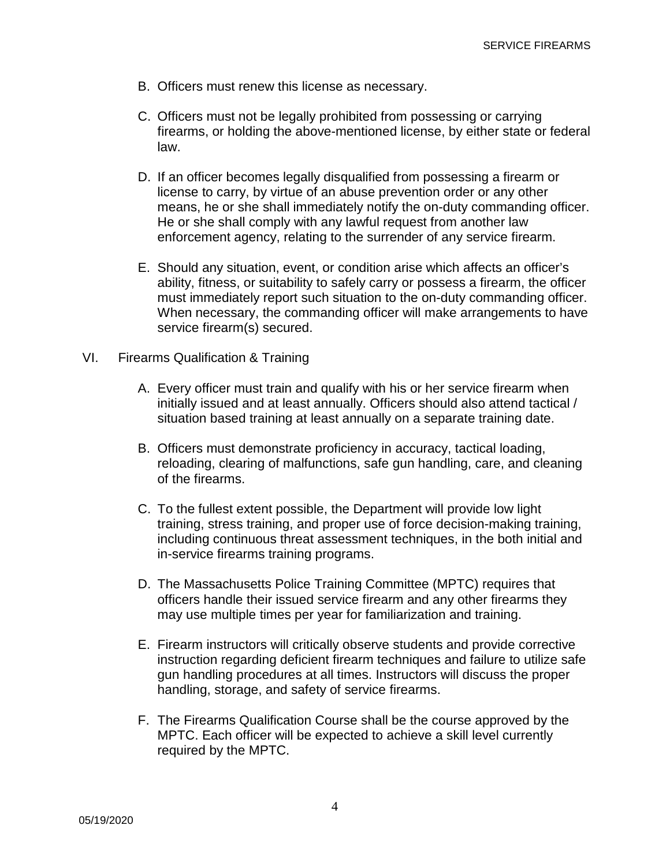- B. Officers must renew this license as necessary.
- C. Officers must not be legally prohibited from possessing or carrying firearms, or holding the above-mentioned license, by either state or federal law.
- D. If an officer becomes legally disqualified from possessing a firearm or license to carry, by virtue of an abuse prevention order or any other means, he or she shall immediately notify the on-duty commanding officer. He or she shall comply with any lawful request from another law enforcement agency, relating to the surrender of any service firearm.
- E. Should any situation, event, or condition arise which affects an officer's ability, fitness, or suitability to safely carry or possess a firearm, the officer must immediately report such situation to the on-duty commanding officer. When necessary, the commanding officer will make arrangements to have service firearm(s) secured.
- VI. Firearms Qualification & Training
	- A. Every officer must train and qualify with his or her service firearm when initially issued and at least annually. Officers should also attend tactical / situation based training at least annually on a separate training date.
	- B. Officers must demonstrate proficiency in accuracy, tactical loading, reloading, clearing of malfunctions, safe gun handling, care, and cleaning of the firearms.
	- C. To the fullest extent possible, the Department will provide low light training, stress training, and proper use of force decision-making training, including continuous threat assessment techniques, in the both initial and in-service firearms training programs.
	- D. The Massachusetts Police Training Committee (MPTC) requires that officers handle their issued service firearm and any other firearms they may use multiple times per year for familiarization and training.
	- E. Firearm instructors will critically observe students and provide corrective instruction regarding deficient firearm techniques and failure to utilize safe gun handling procedures at all times. Instructors will discuss the proper handling, storage, and safety of service firearms.
	- F. The Firearms Qualification Course shall be the course approved by the MPTC. Each officer will be expected to achieve a skill level currently required by the MPTC.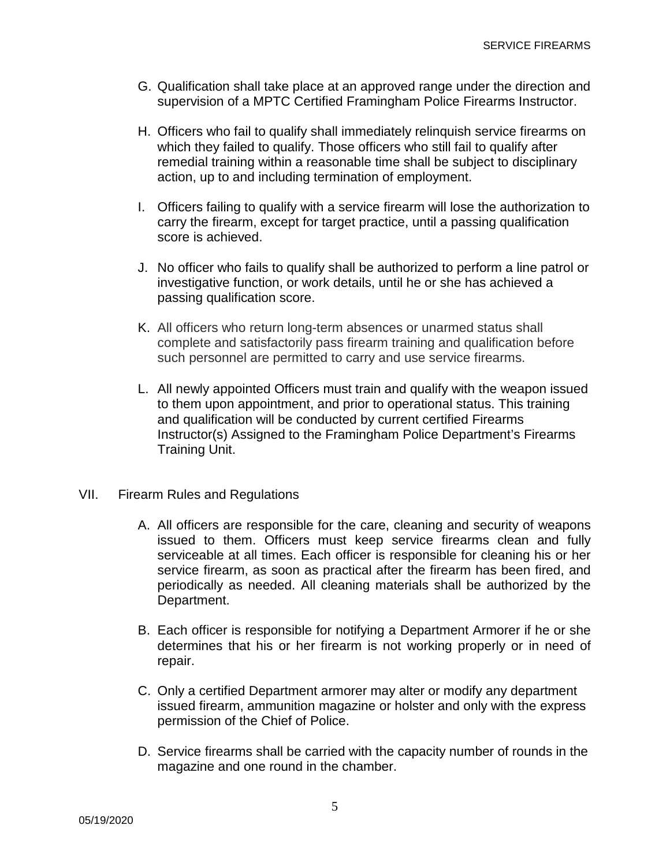- G. Qualification shall take place at an approved range under the direction and supervision of a MPTC Certified Framingham Police Firearms Instructor.
- H. Officers who fail to qualify shall immediately relinquish service firearms on which they failed to qualify. Those officers who still fail to qualify after remedial training within a reasonable time shall be subject to disciplinary action, up to and including termination of employment.
- I. Officers failing to qualify with a service firearm will lose the authorization to carry the firearm, except for target practice, until a passing qualification score is achieved.
- J. No officer who fails to qualify shall be authorized to perform a line patrol or investigative function, or work details, until he or she has achieved a passing qualification score.
- K. All officers who return long-term absences or unarmed status shall complete and satisfactorily pass firearm training and qualification before such personnel are permitted to carry and use service firearms.
- L. All newly appointed Officers must train and qualify with the weapon issued to them upon appointment, and prior to operational status. This training and qualification will be conducted by current certified Firearms Instructor(s) Assigned to the Framingham Police Department's Firearms Training Unit.
- VII. Firearm Rules and Regulations
	- A. All officers are responsible for the care, cleaning and security of weapons issued to them. Officers must keep service firearms clean and fully serviceable at all times. Each officer is responsible for cleaning his or her service firearm, as soon as practical after the firearm has been fired, and periodically as needed. All cleaning materials shall be authorized by the Department.
	- B. Each officer is responsible for notifying a Department Armorer if he or she determines that his or her firearm is not working properly or in need of repair.
	- C. Only a certified Department armorer may alter or modify any department issued firearm, ammunition magazine or holster and only with the express permission of the Chief of Police.
	- D. Service firearms shall be carried with the capacity number of rounds in the magazine and one round in the chamber.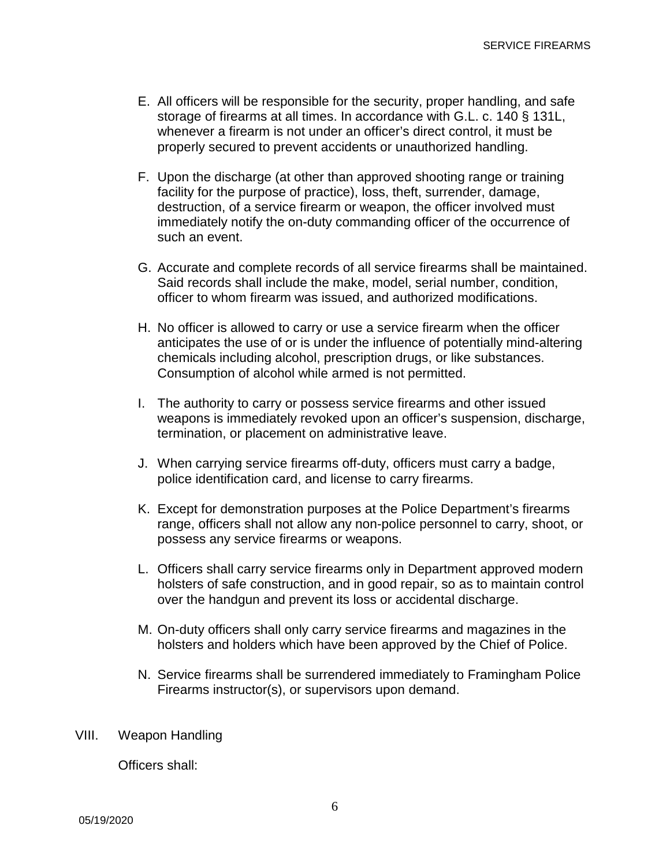- E. All officers will be responsible for the security, proper handling, and safe storage of firearms at all times. In accordance with G.L. c. 140 § 131L, whenever a firearm is not under an officer's direct control, it must be properly secured to prevent accidents or unauthorized handling.
- F. Upon the discharge (at other than approved shooting range or training facility for the purpose of practice), loss, theft, surrender, damage, destruction, of a service firearm or weapon, the officer involved must immediately notify the on-duty commanding officer of the occurrence of such an event.
- G. Accurate and complete records of all service firearms shall be maintained. Said records shall include the make, model, serial number, condition, officer to whom firearm was issued, and authorized modifications.
- H. No officer is allowed to carry or use a service firearm when the officer anticipates the use of or is under the influence of potentially mind-altering chemicals including alcohol, prescription drugs, or like substances. Consumption of alcohol while armed is not permitted.
- I. The authority to carry or possess service firearms and other issued weapons is immediately revoked upon an officer's suspension, discharge, termination, or placement on administrative leave.
- J. When carrying service firearms off-duty, officers must carry a badge, police identification card, and license to carry firearms.
- K. Except for demonstration purposes at the Police Department's firearms range, officers shall not allow any non-police personnel to carry, shoot, or possess any service firearms or weapons.
- L. Officers shall carry service firearms only in Department approved modern holsters of safe construction, and in good repair, so as to maintain control over the handgun and prevent its loss or accidental discharge.
- M. On-duty officers shall only carry service firearms and magazines in the holsters and holders which have been approved by the Chief of Police.
- N. Service firearms shall be surrendered immediately to Framingham Police Firearms instructor(s), or supervisors upon demand.
- VIII. Weapon Handling

Officers shall: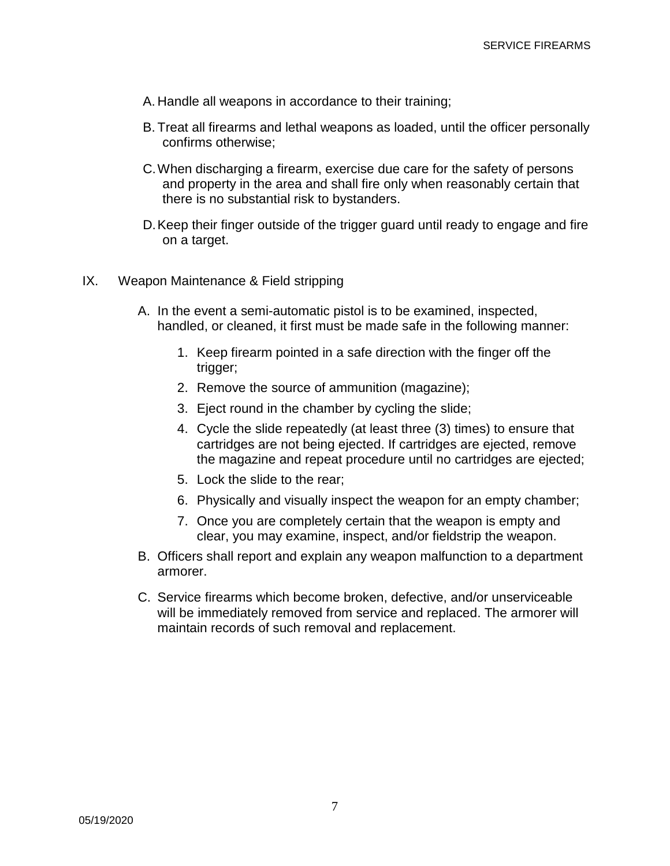- A. Handle all weapons in accordance to their training;
- B. Treat all firearms and lethal weapons as loaded, until the officer personally confirms otherwise;
- C.When discharging a firearm, exercise due care for the safety of persons and property in the area and shall fire only when reasonably certain that there is no substantial risk to bystanders.
- D.Keep their finger outside of the trigger guard until ready to engage and fire on a target.
- IX. Weapon Maintenance & Field stripping
	- A. In the event a semi-automatic pistol is to be examined, inspected, handled, or cleaned, it first must be made safe in the following manner:
		- 1. Keep firearm pointed in a safe direction with the finger off the trigger;
		- 2. Remove the source of ammunition (magazine);
		- 3. Eject round in the chamber by cycling the slide;
		- 4. Cycle the slide repeatedly (at least three (3) times) to ensure that cartridges are not being ejected. If cartridges are ejected, remove the magazine and repeat procedure until no cartridges are ejected;
		- 5. Lock the slide to the rear;
		- 6. Physically and visually inspect the weapon for an empty chamber;
		- 7. Once you are completely certain that the weapon is empty and clear, you may examine, inspect, and/or fieldstrip the weapon.
	- B. Officers shall report and explain any weapon malfunction to a department armorer.
	- C. Service firearms which become broken, defective, and/or unserviceable will be immediately removed from service and replaced. The armorer will maintain records of such removal and replacement.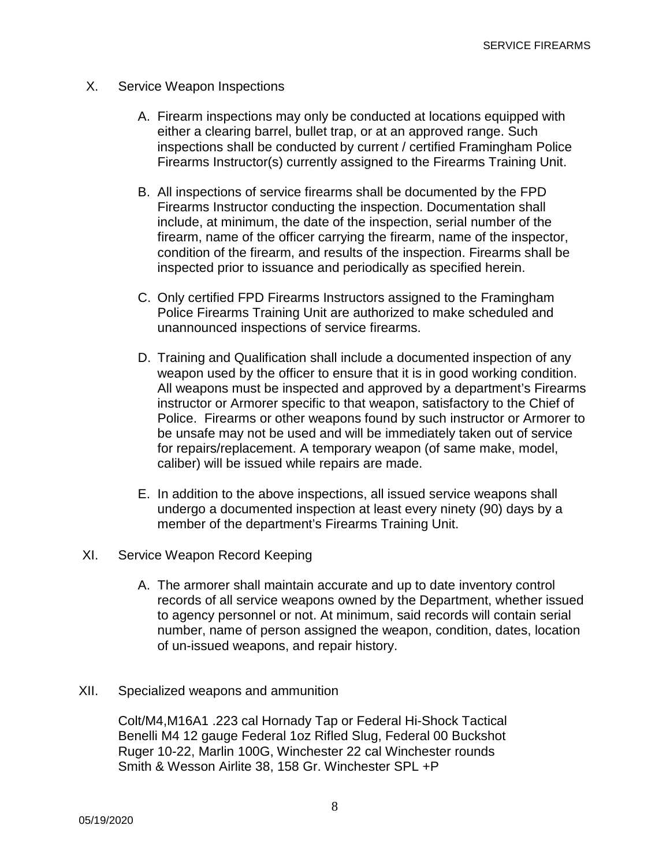- X. Service Weapon Inspections
	- A. Firearm inspections may only be conducted at locations equipped with either a clearing barrel, bullet trap, or at an approved range. Such inspections shall be conducted by current / certified Framingham Police Firearms Instructor(s) currently assigned to the Firearms Training Unit.
	- B. All inspections of service firearms shall be documented by the FPD Firearms Instructor conducting the inspection. Documentation shall include, at minimum, the date of the inspection, serial number of the firearm, name of the officer carrying the firearm, name of the inspector, condition of the firearm, and results of the inspection. Firearms shall be inspected prior to issuance and periodically as specified herein.
	- C. Only certified FPD Firearms Instructors assigned to the Framingham Police Firearms Training Unit are authorized to make scheduled and unannounced inspections of service firearms.
	- D. Training and Qualification shall include a documented inspection of any weapon used by the officer to ensure that it is in good working condition. All weapons must be inspected and approved by a department's Firearms instructor or Armorer specific to that weapon, satisfactory to the Chief of Police. Firearms or other weapons found by such instructor or Armorer to be unsafe may not be used and will be immediately taken out of service for repairs/replacement. A temporary weapon (of same make, model, caliber) will be issued while repairs are made.
	- E. In addition to the above inspections, all issued service weapons shall undergo a documented inspection at least every ninety (90) days by a member of the department's Firearms Training Unit.
- XI. Service Weapon Record Keeping
	- A. The armorer shall maintain accurate and up to date inventory control records of all service weapons owned by the Department, whether issued to agency personnel or not. At minimum, said records will contain serial number, name of person assigned the weapon, condition, dates, location of un-issued weapons, and repair history.
- XII. Specialized weapons and ammunition

Colt/M4,M16A1 .223 cal Hornady Tap or Federal Hi-Shock Tactical Benelli M4 12 gauge Federal 1oz Rifled Slug, Federal 00 Buckshot Ruger 10-22, Marlin 100G, Winchester 22 cal Winchester rounds Smith & Wesson Airlite 38, 158 Gr. Winchester SPL +P